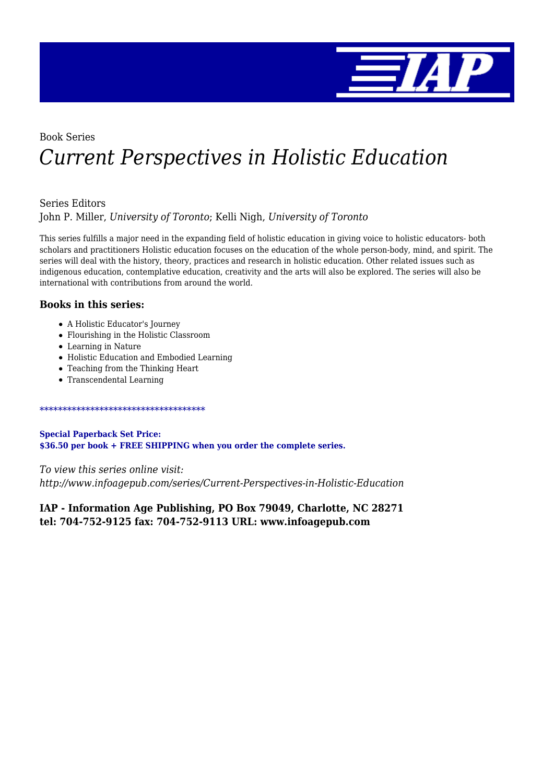

## Book Series *Current Perspectives in Holistic Education*

#### Series Editors

John P. Miller, *University of Toronto*; Kelli Nigh, *University of Toronto*

This series fulfills a major need in the expanding field of holistic education in giving voice to holistic educators- both scholars and practitioners Holistic education focuses on the education of the whole person-body, mind, and spirit. The series will deal with the history, theory, practices and research in holistic education. Other related issues such as indigenous education, contemplative education, creativity and the arts will also be explored. The series will also be international with contributions from around the world.

#### **Books in this series:**

- A Holistic Educator's Journey
- Flourishing in the Holistic Classroom
- Learning in Nature
- Holistic Education and Embodied Learning
- Teaching from the Thinking Heart
- Transcendental Learning

#### \*\*\*\*\*\*\*\*\*\*\*\*\*\*\*\*\*\*\*\*\*\*\*\*\*\*\*\*\*\*\*\*\*\*\*\*

**Special Paperback Set Price: \$36.50 per book + FREE SHIPPING when you order the complete series.**

*To view this series online visit: http://www.infoagepub.com/series/Current-Perspectives-in-Holistic-Education*

**IAP - Information Age Publishing, PO Box 79049, Charlotte, NC 28271 tel: 704-752-9125 fax: 704-752-9113 URL: www.infoagepub.com**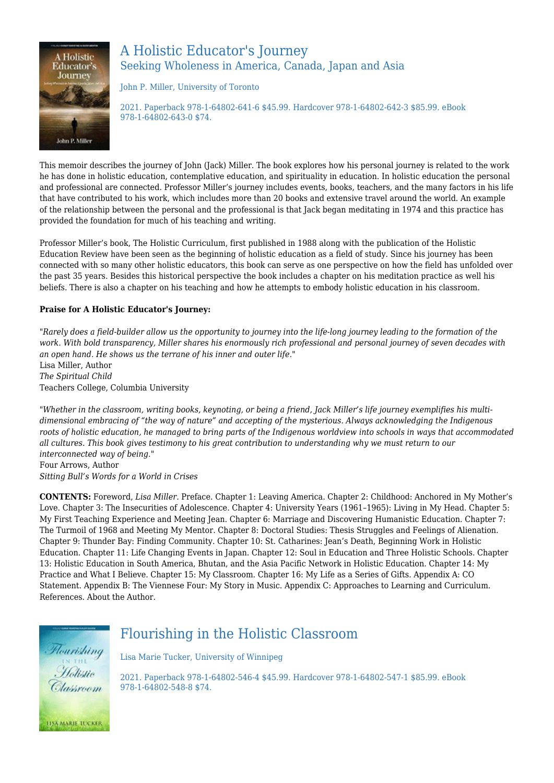

## A Holistic Educator's Journey Seeking Wholeness in America, Canada, Japan and Asia

John P. Miller, University of Toronto

2021. Paperback 978-1-64802-641-6 \$45.99. Hardcover 978-1-64802-642-3 \$85.99. eBook 978-1-64802-643-0 \$74.

This memoir describes the journey of John (Jack) Miller. The book explores how his personal journey is related to the work he has done in holistic education, contemplative education, and spirituality in education. In holistic education the personal and professional are connected. Professor Miller's journey includes events, books, teachers, and the many factors in his life that have contributed to his work, which includes more than 20 books and extensive travel around the world. An example of the relationship between the personal and the professional is that Jack began meditating in 1974 and this practice has provided the foundation for much of his teaching and writing.

Professor Miller's book, The Holistic Curriculum, first published in 1988 along with the publication of the Holistic Education Review have been seen as the beginning of holistic education as a field of study. Since his journey has been connected with so many other holistic educators, this book can serve as one perspective on how the field has unfolded over the past 35 years. Besides this historical perspective the book includes a chapter on his meditation practice as well his beliefs. There is also a chapter on his teaching and how he attempts to embody holistic education in his classroom.

#### **Praise for A Holistic Educator's Journey:**

*"Rarely does a field-builder allow us the opportunity to journey into the life-long journey leading to the formation of the work. With bold transparency, Miller shares his enormously rich professional and personal journey of seven decades with an open hand. He shows us the terrane of his inner and outer life."* Lisa Miller, Author *The Spiritual Child* Teachers College, Columbia University

*"Whether in the classroom, writing books, keynoting, or being a friend, Jack Miller's life journey exemplifies his multidimensional embracing of "the way of nature" and accepting of the mysterious. Always acknowledging the Indigenous roots of holistic education, he managed to bring parts of the Indigenous worldview into schools in ways that accommodated all cultures. This book gives testimony to his great contribution to understanding why we must return to our interconnected way of being."* Four Arrows, Author

*Sitting Bull's Words for a World in Crises*

**CONTENTS:** Foreword, *Lisa Miller.* Preface. Chapter 1: Leaving America. Chapter 2: Childhood: Anchored in My Mother's Love. Chapter 3: The Insecurities of Adolescence. Chapter 4: University Years (1961-1965): Living in My Head. Chapter 5: My First Teaching Experience and Meeting Jean. Chapter 6: Marriage and Discovering Humanistic Education. Chapter 7: The Turmoil of 1968 and Meeting My Mentor. Chapter 8: Doctoral Studies: Thesis Struggles and Feelings of Alienation. Chapter 9: Thunder Bay: Finding Community. Chapter 10: St. Catharines: Jean's Death, Beginning Work in Holistic Education. Chapter 11: Life Changing Events in Japan. Chapter 12: Soul in Education and Three Holistic Schools. Chapter 13: Holistic Education in South America, Bhutan, and the Asia Pacific Network in Holistic Education. Chapter 14: My Practice and What I Believe. Chapter 15: My Classroom. Chapter 16: My Life as a Series of Gifts. Appendix A: CO Statement. Appendix B: The Viennese Four: My Story in Music. Appendix C: Approaches to Learning and Curriculum. References. About the Author.



## Flourishing in the Holistic Classroom

Lisa Marie Tucker, University of Winnipeg

2021. Paperback 978-1-64802-546-4 \$45.99. Hardcover 978-1-64802-547-1 \$85.99. eBook 978-1-64802-548-8 \$74.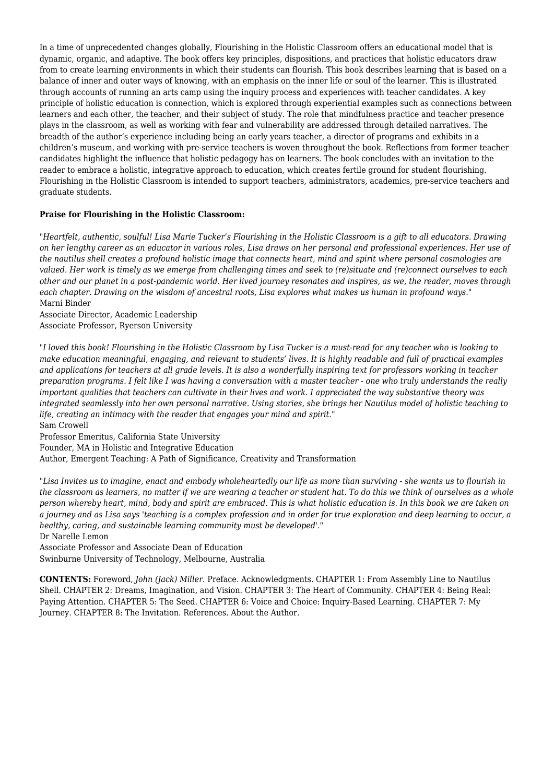In a time of unprecedented changes globally, Flourishing in the Holistic Classroom offers an educational model that is dynamic, organic, and adaptive. The book offers key principles, dispositions, and practices that holistic educators draw from to create learning environments in which their students can flourish. This book describes learning that is based on a balance of inner and outer ways of knowing, with an emphasis on the inner life or soul of the learner. This is illustrated through accounts of running an arts camp using the inquiry process and experiences with teacher candidates. A key principle of holistic education is connection, which is explored through experiential examples such as connections between learners and each other, the teacher, and their subject of study. The role that mindfulness practice and teacher presence plays in the classroom, as well as working with fear and vulnerability are addressed through detailed narratives. The breadth of the author's experience including being an early years teacher, a director of programs and exhibits in a children's museum, and working with pre-service teachers is woven throughout the book. Reflections from former teacher candidates highlight the influence that holistic pedagogy has on learners. The book concludes with an invitation to the reader to embrace a holistic, integrative approach to education, which creates fertile ground for student flourishing. Flourishing in the Holistic Classroom is intended to support teachers, administrators, academics, pre-service teachers and graduate students.

#### **Praise for Flourishing in the Holistic Classroom:**

*"Heartfelt, authentic, soulful! Lisa Marie Tucker's Flourishing in the Holistic Classroom is a gift to all educators. Drawing on her lengthy career as an educator in various roles, Lisa draws on her personal and professional experiences. Her use of the nautilus shell creates a profound holistic image that connects heart, mind and spirit where personal cosmologies are valued. Her work is timely as we emerge from challenging times and seek to (re)situate and (re)connect ourselves to each other and our planet in a post-pandemic world. Her lived journey resonates and inspires, as we, the reader, moves through each chapter. Drawing on the wisdom of ancestral roots, Lisa explores what makes us human in profound ways."* Marni Binder

Associate Director, Academic Leadership Associate Professor, Ryerson University

*"I loved this book! Flourishing in the Holistic Classroom by Lisa Tucker is a must-read for any teacher who is looking to make education meaningful, engaging, and relevant to students' lives. It is highly readable and full of practical examples and applications for teachers at all grade levels. It is also a wonderfully inspiring text for professors working in teacher preparation programs. I felt like I was having a conversation with a master teacher - one who truly understands the really important qualities that teachers can cultivate in their lives and work. I appreciated the way substantive theory was integrated seamlessly into her own personal narrative. Using stories, she brings her Nautilus model of holistic teaching to life, creating an intimacy with the reader that engages your mind and spirit."* Sam Crowell

Professor Emeritus, California State University

Founder, MA in Holistic and Integrative Education

Author, Emergent Teaching: A Path of Significance, Creativity and Transformation

*"Lisa Invites us to imagine, enact and embody wholeheartedly our life as more than surviving - she wants us to flourish in the classroom as learners, no matter if we are wearing a teacher or student hat. To do this we think of ourselves as a whole person whereby heart, mind, body and spirit are embraced. This is what holistic education is. In this book we are taken on a journey and as Lisa says 'teaching is a complex profession and in order for true exploration and deep learning to occur, a healthy, caring, and sustainable learning community must be developed'."*

Dr Narelle Lemon

Associate Professor and Associate Dean of Education Swinburne University of Technology, Melbourne, Australia

**CONTENTS:** Foreword, *John (Jack) Miller.* Preface. Acknowledgments. CHAPTER 1: From Assembly Line to Nautilus Shell. CHAPTER 2: Dreams, Imagination, and Vision. CHAPTER 3: The Heart of Community. CHAPTER 4: Being Real: Paying Attention. CHAPTER 5: The Seed. CHAPTER 6: Voice and Choice: Inquiry-Based Learning. CHAPTER 7: My Journey. CHAPTER 8: The Invitation. References. About the Author.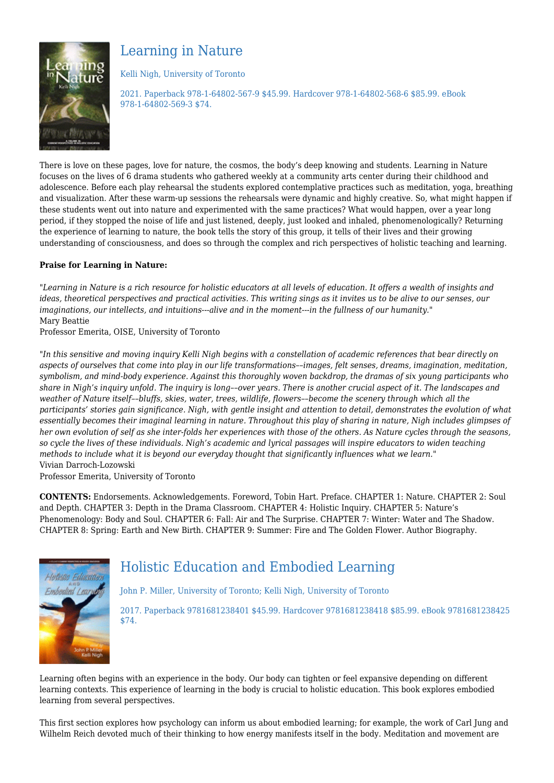

## Learning in Nature

Kelli Nigh, University of Toronto

2021. Paperback 978-1-64802-567-9 \$45.99. Hardcover 978-1-64802-568-6 \$85.99. eBook 978-1-64802-569-3 \$74.

There is love on these pages, love for nature, the cosmos, the body's deep knowing and students. Learning in Nature focuses on the lives of 6 drama students who gathered weekly at a community arts center during their childhood and adolescence. Before each play rehearsal the students explored contemplative practices such as meditation, yoga, breathing and visualization. After these warm-up sessions the rehearsals were dynamic and highly creative. So, what might happen if these students went out into nature and experimented with the same practices? What would happen, over a year long period, if they stopped the noise of life and just listened, deeply, just looked and inhaled, phenomenologically? Returning the experience of learning to nature, the book tells the story of this group, it tells of their lives and their growing understanding of consciousness, and does so through the complex and rich perspectives of holistic teaching and learning.

#### **Praise for Learning in Nature:**

*"Learning in Nature is a rich resource for holistic educators at all levels of education. It offers a wealth of insights and ideas, theoretical perspectives and practical activities. This writing sings as it invites us to be alive to our senses, our imaginations, our intellects, and intuitions---alive and in the moment---in the fullness of our humanity."* Mary Beattie

Professor Emerita, OISE, University of Toronto

*"In this sensitive and moving inquiry Kelli Nigh begins with a constellation of academic references that bear directly on aspects of ourselves that come into play in our life transformations––images, felt senses, dreams, imagination, meditation, symbolism, and mind-body experience. Against this thoroughly woven backdrop, the dramas of six young participants who share in Nigh's inquiry unfold. The inquiry is long––over years. There is another crucial aspect of it. The landscapes and weather of Nature itself––bluffs, skies, water, trees, wildlife, flowers––become the scenery through which all the participants' stories gain significance. Nigh, with gentle insight and attention to detail, demonstrates the evolution of what essentially becomes their imaginal learning in nature. Throughout this play of sharing in nature, Nigh includes glimpses of her own evolution of self as she inter-folds her experiences with those of the others. As Nature cycles through the seasons, so cycle the lives of these individuals. Nigh's academic and lyrical passages will inspire educators to widen teaching methods to include what it is beyond our everyday thought that significantly influences what we learn."* Vivian Darroch-Lozowski

Professor Emerita, University of Toronto

**CONTENTS:** Endorsements. Acknowledgements. Foreword, Tobin Hart. Preface. CHAPTER 1: Nature. CHAPTER 2: Soul and Depth. CHAPTER 3: Depth in the Drama Classroom. CHAPTER 4: Holistic Inquiry. CHAPTER 5: Nature's Phenomenology: Body and Soul. CHAPTER 6: Fall: Air and The Surprise. CHAPTER 7: Winter: Water and The Shadow. CHAPTER 8: Spring: Earth and New Birth. CHAPTER 9: Summer: Fire and The Golden Flower. Author Biography.



## Holistic Education and Embodied Learning

John P. Miller, University of Toronto; Kelli Nigh, University of Toronto

2017. Paperback 9781681238401 \$45.99. Hardcover 9781681238418 \$85.99. eBook 9781681238425 \$74.

Learning often begins with an experience in the body. Our body can tighten or feel expansive depending on different learning contexts. This experience of learning in the body is crucial to holistic education. This book explores embodied learning from several perspectives.

This first section explores how psychology can inform us about embodied learning; for example, the work of Carl Jung and Wilhelm Reich devoted much of their thinking to how energy manifests itself in the body. Meditation and movement are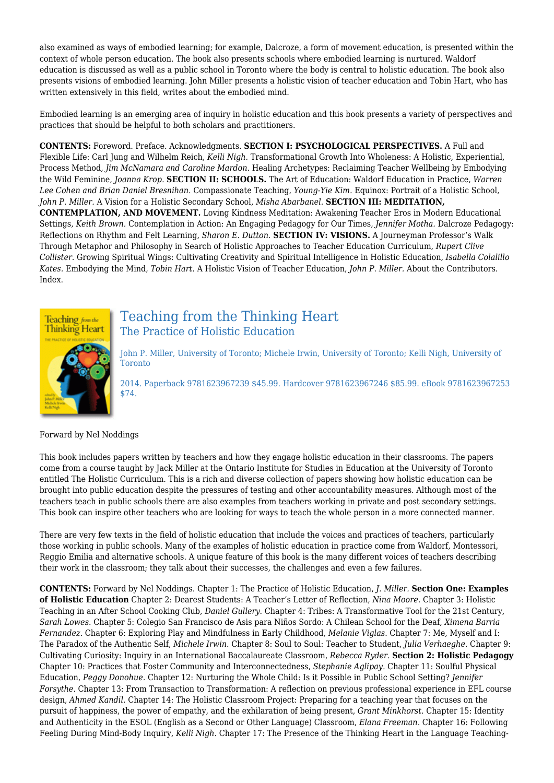also examined as ways of embodied learning; for example, Dalcroze, a form of movement education, is presented within the context of whole person education. The book also presents schools where embodied learning is nurtured. Waldorf education is discussed as well as a public school in Toronto where the body is central to holistic education. The book also presents visions of embodied learning. John Miller presents a holistic vision of teacher education and Tobin Hart, who has written extensively in this field, writes about the embodied mind.

Embodied learning is an emerging area of inquiry in holistic education and this book presents a variety of perspectives and practices that should be helpful to both scholars and practitioners.

**CONTENTS:** Foreword. Preface. Acknowledgments. **SECTION I: PSYCHOLOGICAL PERSPECTIVES.** A Full and Flexible Life: Carl Jung and Wilhelm Reich, *Kelli Nigh.* Transformational Growth Into Wholeness: A Holistic, Experiential, Process Method, *Jim McNamara and Caroline Mardon.* Healing Archetypes: Reclaiming Teacher Wellbeing by Embodying the Wild Feminine, *Joanna Krop.* **SECTION II: SCHOOLS.** The Art of Education: Waldorf Education in Practice, *Warren Lee Cohen and Brian Daniel Bresnihan.* Compassionate Teaching, *Young-Yie Kim.* Equinox: Portrait of a Holistic School, *John P. Miller.* A Vision for a Holistic Secondary School, *Misha Abarbanel.* **SECTION III: MEDITATION, CONTEMPLATION, AND MOVEMENT.** Loving Kindness Meditation: Awakening Teacher Eros in Modern Educational Settings, *Keith Brown.* Contemplation in Action: An Engaging Pedagogy for Our Times, *Jennifer Motha.* Dalcroze Pedagogy: Reflections on Rhythm and Felt Learning, *Sharon E. Dutton.* **SECTION IV: VISIONS.** A Journeyman Professor's Walk Through Metaphor and Philosophy in Search of Holistic Approaches to Teacher Education Curriculum, *Rupert Clive Collister.* Growing Spiritual Wings: Cultivating Creativity and Spiritual Intelligence in Holistic Education, *Isabella Colalillo Kates.* Embodying the Mind, *Tobin Hart.* A Holistic Vision of Teacher Education, *John P. Miller.* About the Contributors. Index.



## Teaching from the Thinking Heart The Practice of Holistic Education

John P. Miller, University of Toronto; Michele Irwin, University of Toronto; Kelli Nigh, University of Toronto

2014. Paperback 9781623967239 \$45.99. Hardcover 9781623967246 \$85.99. eBook 9781623967253 \$74.

#### Forward by Nel Noddings

This book includes papers written by teachers and how they engage holistic education in their classrooms. The papers come from a course taught by Jack Miller at the Ontario Institute for Studies in Education at the University of Toronto entitled The Holistic Curriculum. This is a rich and diverse collection of papers showing how holistic education can be brought into public education despite the pressures of testing and other accountability measures. Although most of the teachers teach in public schools there are also examples from teachers working in private and post secondary settings. This book can inspire other teachers who are looking for ways to teach the whole person in a more connected manner.

There are very few texts in the field of holistic education that include the voices and practices of teachers, particularly those working in public schools. Many of the examples of holistic education in practice come from Waldorf, Montessori, Reggio Emilia and alternative schools. A unique feature of this book is the many different voices of teachers describing their work in the classroom; they talk about their successes, the challenges and even a few failures.

**CONTENTS:** Forward by Nel Noddings. Chapter 1: The Practice of Holistic Education, *J. Miller.* **Section One: Examples of Holistic Education** Chapter 2: Dearest Students: A Teacher's Letter of Reflection, *Nina Moore.* Chapter 3: Holistic Teaching in an After School Cooking Club, *Daniel Gullery.* Chapter 4: Tribes: A Transformative Tool for the 21st Century, *Sarah Lowes.* Chapter 5: Colegio San Francisco de Asis para Niños Sordo: A Chilean School for the Deaf, *Ximena Barria Fernandez.* Chapter 6: Exploring Play and Mindfulness in Early Childhood, *Melanie Viglas.* Chapter 7: Me, Myself and I: The Paradox of the Authentic Self, *Michele Irwin.* Chapter 8: Soul to Soul: Teacher to Student, *Julia Verhaeghe.* Chapter 9: Cultivating Curiosity: Inquiry in an International Baccalaureate Classroom, *Rebecca Ryder.* **Section 2: Holistic Pedagogy** Chapter 10: Practices that Foster Community and Interconnectedness, *Stephanie Aglipay.* Chapter 11: Soulful Physical Education, *Peggy Donohue.* Chapter 12: Nurturing the Whole Child: Is it Possible in Public School Setting? *Jennifer Forsythe.* Chapter 13: From Transaction to Transformation: A reflection on previous professional experience in EFL course design, *Ahmed Kandil.* Chapter 14: The Holistic Classroom Project: Preparing for a teaching year that focuses on the pursuit of happiness, the power of empathy, and the exhilaration of being present, *Grant Minkhorst.* Chapter 15: Identity and Authenticity in the ESOL (English as a Second or Other Language) Classroom, *Elana Freeman.* Chapter 16: Following Feeling During Mind-Body Inquiry, *Kelli Nigh.* Chapter 17: The Presence of the Thinking Heart in the Language Teaching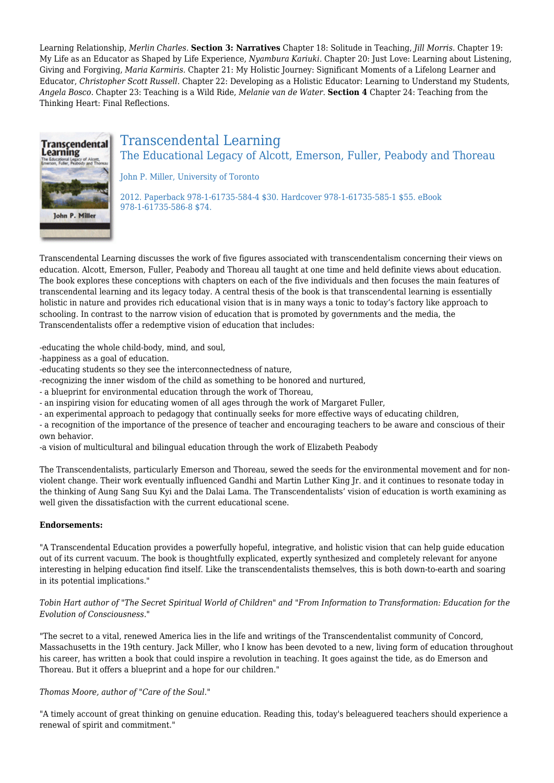Learning Relationship, *Merlin Charles.* **Section 3: Narratives** Chapter 18: Solitude in Teaching, *Jill Morris.* Chapter 19: My Life as an Educator as Shaped by Life Experience, *Nyambura Kariuki.* Chapter 20: Just Love: Learning about Listening, Giving and Forgiving, *Maria Karmiris.* Chapter 21: My Holistic Journey: Significant Moments of a Lifelong Learner and Educator, *Christopher Scott Russell.* Chapter 22: Developing as a Holistic Educator: Learning to Understand my Students, *Angela Bosco.* Chapter 23: Teaching is a Wild Ride, *Melanie van de Water.* **Section 4** Chapter 24: Teaching from the Thinking Heart: Final Reflections.



### Transcendental Learning The Educational Legacy of Alcott, Emerson, Fuller, Peabody and Thoreau

John P. Miller, University of Toronto

2012. Paperback 978-1-61735-584-4 \$30. Hardcover 978-1-61735-585-1 \$55. eBook 978-1-61735-586-8 \$74.

Transcendental Learning discusses the work of five figures associated with transcendentalism concerning their views on education. Alcott, Emerson, Fuller, Peabody and Thoreau all taught at one time and held definite views about education. The book explores these conceptions with chapters on each of the five individuals and then focuses the main features of transcendental learning and its legacy today. A central thesis of the book is that transcendental learning is essentially holistic in nature and provides rich educational vision that is in many ways a tonic to today's factory like approach to schooling. In contrast to the narrow vision of education that is promoted by governments and the media, the Transcendentalists offer a redemptive vision of education that includes:

-educating the whole child-body, mind, and soul,

-happiness as a goal of education.

-educating students so they see the interconnectedness of nature,

-recognizing the inner wisdom of the child as something to be honored and nurtured,

- a blueprint for environmental education through the work of Thoreau,

- an inspiring vision for educating women of all ages through the work of Margaret Fuller,

- an experimental approach to pedagogy that continually seeks for more effective ways of educating children,

- a recognition of the importance of the presence of teacher and encouraging teachers to be aware and conscious of their own behavior.

-a vision of multicultural and bilingual education through the work of Elizabeth Peabody

The Transcendentalists, particularly Emerson and Thoreau, sewed the seeds for the environmental movement and for nonviolent change. Their work eventually influenced Gandhi and Martin Luther King Jr. and it continues to resonate today in the thinking of Aung Sang Suu Kyi and the Dalai Lama. The Transcendentalists' vision of education is worth examining as well given the dissatisfaction with the current educational scene.

#### **Endorsements:**

"A Transcendental Education provides a powerfully hopeful, integrative, and holistic vision that can help guide education out of its current vacuum. The book is thoughtfully explicated, expertly synthesized and completely relevant for anyone interesting in helping education find itself. Like the transcendentalists themselves, this is both down-to-earth and soaring in its potential implications."

*Tobin Hart author of "The Secret Spiritual World of Children" and "From Information to Transformation: Education for the Evolution of Consciousness."*

"The secret to a vital, renewed America lies in the life and writings of the Transcendentalist community of Concord, Massachusetts in the 19th century. Jack Miller, who I know has been devoted to a new, living form of education throughout his career, has written a book that could inspire a revolution in teaching. It goes against the tide, as do Emerson and Thoreau. But it offers a blueprint and a hope for our children."

#### *Thomas Moore, author of "Care of the Soul."*

"A timely account of great thinking on genuine education. Reading this, today's beleaguered teachers should experience a renewal of spirit and commitment."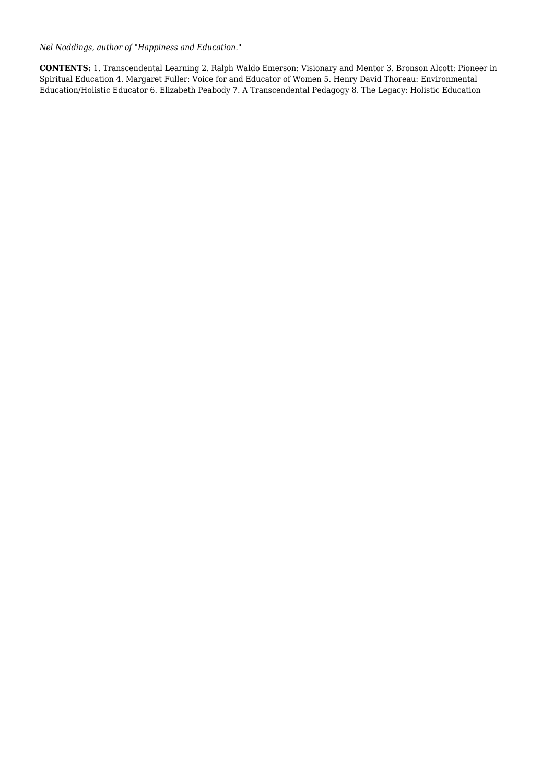*Nel Noddings, author of "Happiness and Education."*

**CONTENTS:** 1. Transcendental Learning 2. Ralph Waldo Emerson: Visionary and Mentor 3. Bronson Alcott: Pioneer in Spiritual Education 4. Margaret Fuller: Voice for and Educator of Women 5. Henry David Thoreau: Environmental Education/Holistic Educator 6. Elizabeth Peabody 7. A Transcendental Pedagogy 8. The Legacy: Holistic Education